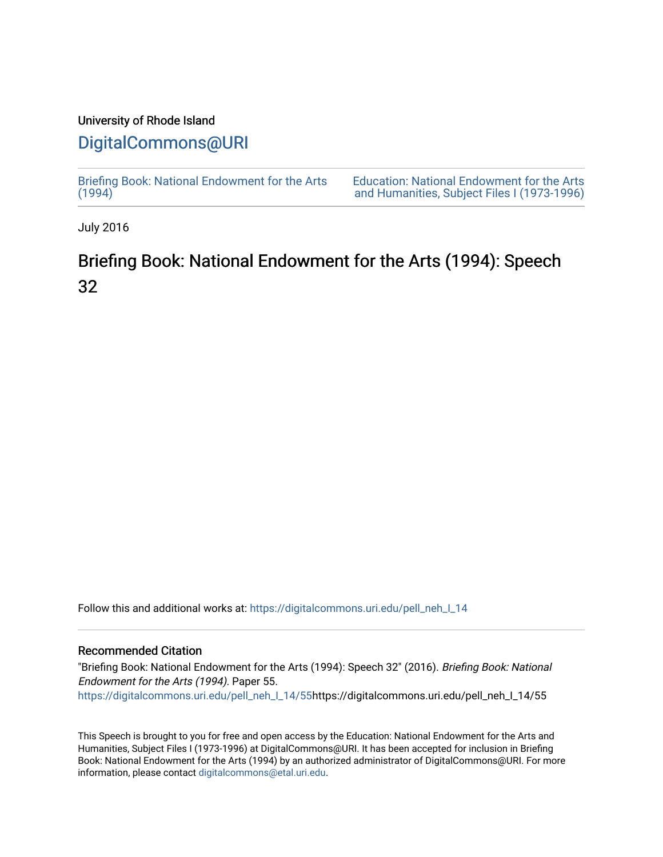## University of Rhode Island

## [DigitalCommons@URI](https://digitalcommons.uri.edu/)

[Briefing Book: National Endowment for the Arts](https://digitalcommons.uri.edu/pell_neh_I_14)  $(1994)$ 

[Education: National Endowment for the Arts](https://digitalcommons.uri.edu/pell_neh_I)  [and Humanities, Subject Files I \(1973-1996\)](https://digitalcommons.uri.edu/pell_neh_I) 

July 2016

## Briefing Book: National Endowment for the Arts (1994): Speech 32

Follow this and additional works at: [https://digitalcommons.uri.edu/pell\\_neh\\_I\\_14](https://digitalcommons.uri.edu/pell_neh_I_14?utm_source=digitalcommons.uri.edu%2Fpell_neh_I_14%2F55&utm_medium=PDF&utm_campaign=PDFCoverPages) 

## Recommended Citation

"Briefing Book: National Endowment for the Arts (1994): Speech 32" (2016). Briefing Book: National Endowment for the Arts (1994). Paper 55. [https://digitalcommons.uri.edu/pell\\_neh\\_I\\_14/55h](https://digitalcommons.uri.edu/pell_neh_I_14/55?utm_source=digitalcommons.uri.edu%2Fpell_neh_I_14%2F55&utm_medium=PDF&utm_campaign=PDFCoverPages)ttps://digitalcommons.uri.edu/pell\_neh\_I\_14/55

This Speech is brought to you for free and open access by the Education: National Endowment for the Arts and Humanities, Subject Files I (1973-1996) at DigitalCommons@URI. It has been accepted for inclusion in Briefing Book: National Endowment for the Arts (1994) by an authorized administrator of DigitalCommons@URI. For more information, please contact [digitalcommons@etal.uri.edu.](mailto:digitalcommons@etal.uri.edu)